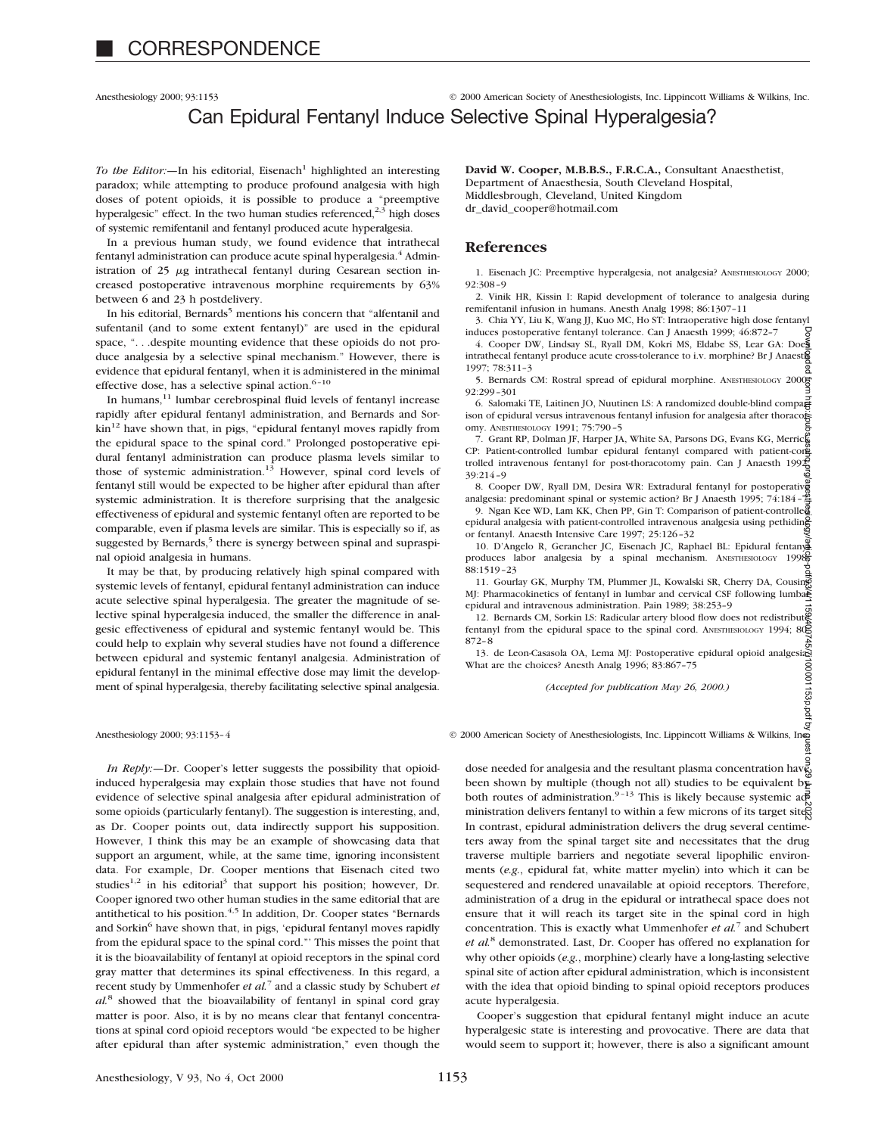### Anesthesiology 2000; 93:1153 © 2000 American Society of Anesthesiologists, Inc. Lippincott Williams & Wilkins, Inc. Can Epidural Fentanyl Induce Selective Spinal Hyperalgesia?

*To the Editor:*—In his editorial, Eisenach<sup>1</sup> highlighted an interesting paradox; while attempting to produce profound analgesia with high doses of potent opioids, it is possible to produce a "preemptive hyperalgesic" effect. In the two human studies referenced,<sup>2,3</sup> high doses of systemic remifentanil and fentanyl produced acute hyperalgesia.

In a previous human study, we found evidence that intrathecal fentanyl administration can produce acute spinal hyperalgesia.<sup>4</sup> Administration of  $25 \mu g$  intrathecal fentanyl during Cesarean section increased postoperative intravenous morphine requirements by 63% between 6 and 23 h postdelivery.

In his editorial, Bernards<sup>5</sup> mentions his concern that "alfentanil and sufentanil (and to some extent fentanyl)" are used in the epidural space, ". . .despite mounting evidence that these opioids do not produce analgesia by a selective spinal mechanism." However, there is evidence that epidural fentanyl, when it is administered in the minimal effective dose, has a selective spinal action.<sup>6-10</sup>

In humans,11 lumbar cerebrospinal fluid levels of fentanyl increase rapidly after epidural fentanyl administration, and Bernards and Sorkin<sup>12</sup> have shown that, in pigs, "epidural fentanyl moves rapidly from the epidural space to the spinal cord." Prolonged postoperative epidural fentanyl administration can produce plasma levels similar to those of systemic administration.<sup>13</sup> However, spinal cord levels of fentanyl still would be expected to be higher after epidural than after systemic administration. It is therefore surprising that the analgesic effectiveness of epidural and systemic fentanyl often are reported to be comparable, even if plasma levels are similar. This is especially so if, as suggested by Bernards,<sup>5</sup> there is synergy between spinal and supraspinal opioid analgesia in humans.

It may be that, by producing relatively high spinal compared with systemic levels of fentanyl, epidural fentanyl administration can induce acute selective spinal hyperalgesia. The greater the magnitude of selective spinal hyperalgesia induced, the smaller the difference in analgesic effectiveness of epidural and systemic fentanyl would be. This could help to explain why several studies have not found a difference between epidural and systemic fentanyl analgesia. Administration of epidural fentanyl in the minimal effective dose may limit the development of spinal hyperalgesia, thereby facilitating selective spinal analgesia.

*In Reply:—*Dr. Cooper's letter suggests the possibility that opioidinduced hyperalgesia may explain those studies that have not found evidence of selective spinal analgesia after epidural administration of some opioids (particularly fentanyl). The suggestion is interesting, and, as Dr. Cooper points out, data indirectly support his supposition. However, I think this may be an example of showcasing data that support an argument, while, at the same time, ignoring inconsistent data. For example, Dr. Cooper mentions that Eisenach cited two studies<sup>1,2</sup> in his editorial<sup>3</sup> that support his position; however, Dr. Cooper ignored two other human studies in the same editorial that are antithetical to his position.<sup>4,5</sup> In addition, Dr. Cooper states "Bernards" and Sorkin<sup>6</sup> have shown that, in pigs, 'epidural fentanyl moves rapidly from the epidural space to the spinal cord."' This misses the point that it is the bioavailability of fentanyl at opioid receptors in the spinal cord gray matter that determines its spinal effectiveness. In this regard, a recent study by Ummenhofer *et al.*<sup>7</sup> and a classic study by Schubert *et al.*<sup>8</sup> showed that the bioavailability of fentanyl in spinal cord gray matter is poor. Also, it is by no means clear that fentanyl concentrations at spinal cord opioid receptors would "be expected to be higher after epidural than after systemic administration," even though the

**David W. Cooper, M.B.B.S., F.R.C.A.,** Consultant Anaesthetist, Department of Anaesthesia, South Cleveland Hospital, Middlesbrough, Cleveland, United Kingdom dr\_david\_cooper@hotmail.com

#### **References**

1. Eisenach JC: Preemptive hyperalgesia, not analgesia? ANESTHESIOLOGY 2000; 92:308–9

2. Vinik HR, Kissin I: Rapid development of tolerance to analgesia during remifentanil infusion in humans. Anesth Analg 1998; 86:1307–11

3. Chia YY, Liu K, Wang JJ, Kuo MC, Ho ST: Intraoperative high dose fentanyl induces postoperative fentanyl tolerance. Can J Anaesth 1999; 46:872–7

4. Cooper DW, Lindsay SL, Ryall DM, Kokri MS, Eldabe SS, Lear GA: Does intrathecal fentanyl produce acute cross-tolerance to i.v. morphine? Br J Anaesth 1997; 78:311–3

97; 78:511-5<br>5. Bernards CM: Rostral spread of epidural morphine. ANESTHESIOLOGY 2000<mark>6</mark> 92:299–301

6. Salomaki TE, Laitinen JO, Nuutinen LS: A randomized double-blind comparison of epidural versus intravenous fentanyl infusion for analgesia after thoracotoromy. ANESTHESIOLOGY 1991; 75:790–5

7. Grant RP, Dolman JF, Harper JA, White SA, Parsons DG, Evans KG, Merrick CP: Patient-controlled lumbar epidural fentanyl compared with patient-cone trolled intravenous fentanyl for post-thoracotomy pain. Can J Anaesth  $199\frac{2}{9}$ 39:214–9

8. Cooper DW, Ryall DM, Desira WR: Extradural fentanyl for postoperative analgesia: predominant spinal or systemic action? Br J Anaesth 1995; 74:184–7

9. Ngan Kee WD, Lam KK, Chen PP, Gin T: Comparison of patient-controlled epidural analgesia with patient-controlled intravenous analgesia using pethidine or fentanyl. Anaesth Intensive Care 1997; 25:126–32

10. D'Angelo R, Gerancher JC, Eisenach JC, Raphael BL: Epidural fentanyl produces labor analgesia by a spinal mechanism. ANESTHESIOLOGY 19986 88:1519–23

11. Gourlay GK, Murphy TM, Plummer JL, Kowalski SR, Cherry DA, Cousins MJ: Pharmacokinetics of fentanyl in lumbar and cervical CSF following lumbar epidural and intravenous administration. Pain 1989; 38:253–9

12. Bernards CM, Sorkin LS: Radicular artery blood flow does not redistributes fentanyl from the epidural space to the spinal cord. ANESTHESIOLOGY 1994; 80E 872–8

13. de Leon-Casasola OA, Lema MJ: Postoperative epidural opioid analgesia: What are the choices? Anesth Analg 1996; 83:867–75

*(Accepted for publication May 26, 2000.)*

Anesthesiology 2000; 93:1153–4 © 2000 American Society of Anesthesiologists, Inc. Lippincott Williams & Wilkins, Inc.

dose needed for analgesia and the resultant plasma concentration have been shown by multiple (though not all) studies to be equivalent by both routes of administration.<sup>9-13</sup> This is likely because systemic administration delivers fentanyl to within a few microns of its target site. In contrast, epidural administration delivers the drug several centimeters away from the spinal target site and necessitates that the drug traverse multiple barriers and negotiate several lipophilic environments (*e.g.*, epidural fat, white matter myelin) into which it can be sequestered and rendered unavailable at opioid receptors. Therefore, administration of a drug in the epidural or intrathecal space does not ensure that it will reach its target site in the spinal cord in high concentration. This is exactly what Ummenhofer *et al.*<sup>7</sup> and Schubert *et al.*<sup>8</sup> demonstrated. Last, Dr. Cooper has offered no explanation for why other opioids (*e.g.*, morphine) clearly have a long-lasting selective spinal site of action after epidural administration, which is inconsistent with the idea that opioid binding to spinal opioid receptors produces acute hyperalgesia. Downloaded from http://pubs.asahq.org/anesthesiology/article-pdf/93/4/1159/400745/7i100001153p.pdf by guest on 29 June 2022

Cooper's suggestion that epidural fentanyl might induce an acute hyperalgesic state is interesting and provocative. There are data that would seem to support it; however, there is also a significant amount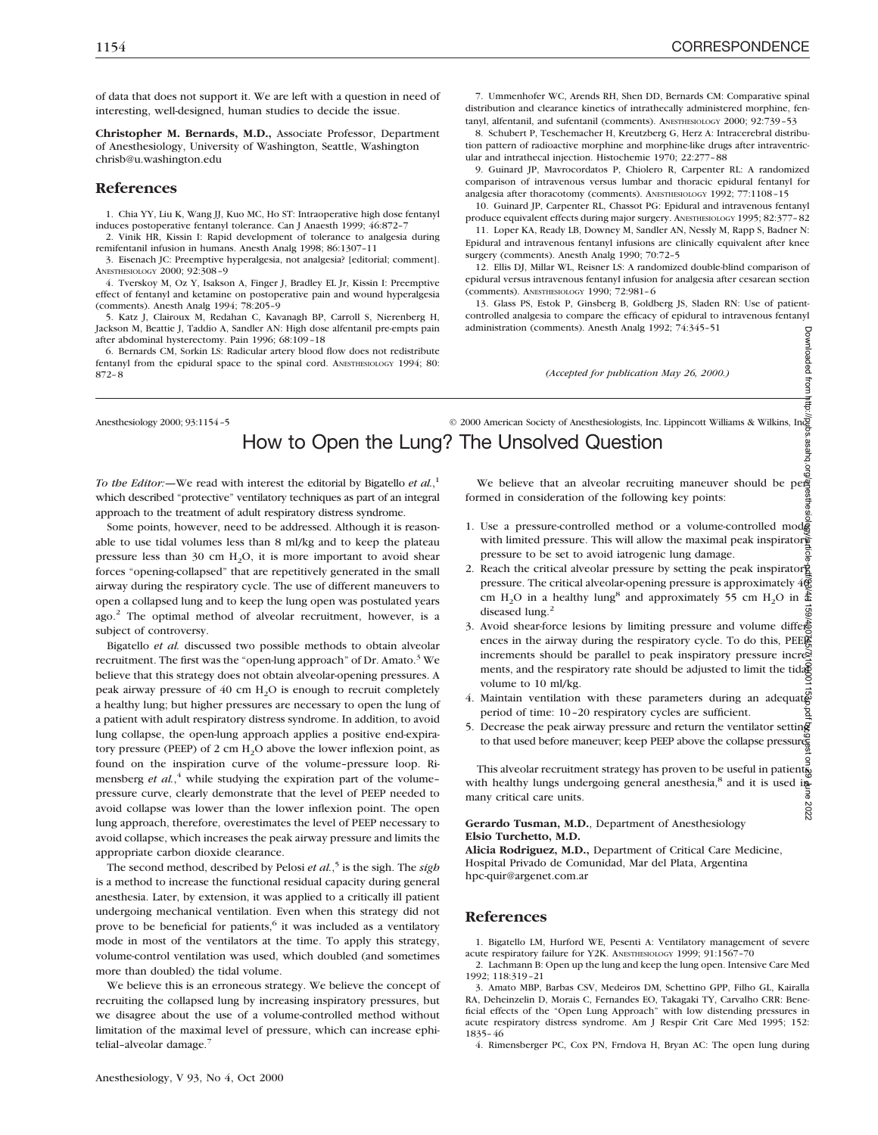**PEG** 

of data that does not support it. We are left with a question in need of interesting, well-designed, human studies to decide the issue.

**Christopher M. Bernards, M.D.,** Associate Professor, Department of Anesthesiology, University of Washington, Seattle, Washington chrisb@u.washington.edu

#### **References**

1. Chia YY, Liu K, Wang JJ, Kuo MC, Ho ST: Intraoperative high dose fentanyl induces postoperative fentanyl tolerance. Can J Anaesth 1999; 46:872–7

2. Vinik HR, Kissin I: Rapid development of tolerance to analgesia during remifentanil infusion in humans. Anesth Analg 1998; 86:1307–11

3. Eisenach JC: Preemptive hyperalgesia, not analgesia? [editorial; comment]. ANESTHESIOLOGY 2000; 92:308–9

4. Tverskoy M, Oz Y, Isakson A, Finger J, Bradley EL Jr, Kissin I: Preemptive effect of fentanyl and ketamine on postoperative pain and wound hyperalgesia (comments). Anesth Analg 1994; 78:205–9

5. Katz J, Clairoux M, Redahan C, Kavanagh BP, Carroll S, Nierenberg H, Jackson M, Beattie J, Taddio A, Sandler AN: High dose alfentanil pre-empts pain after abdominal hysterectomy. Pain 1996; 68:109–18

6. Bernards CM, Sorkin LS: Radicular artery blood flow does not redistribute fentanyl from the epidural space to the spinal cord. ANESTHESIOLOGY 1994; 80: 872–8

7. Ummenhofer WC, Arends RH, Shen DD, Bernards CM: Comparative spinal distribution and clearance kinetics of intrathecally administered morphine, fentanyl, alfentanil, and sufentanil (comments). ANESTHESIOLOGY 2000; 92:739–53

8. Schubert P, Teschemacher H, Kreutzberg G, Herz A: Intracerebral distribution pattern of radioactive morphine and morphine-like drugs after intraventricular and intrathecal injection. Histochemie 1970; 22:277–88

9. Guinard JP, Mavrocordatos P, Chiolero R, Carpenter RL: A randomized comparison of intravenous versus lumbar and thoracic epidural fentanyl for analgesia after thoracotomy (comments). ANESTHESIOLOGY 1992; 77:1108–15

10. Guinard JP, Carpenter RL, Chassot PG: Epidural and intravenous fentanyl produce equivalent effects during major surgery. ANESTHESIOLOGY 1995; 82:377–82

11. Loper KA, Ready LB, Downey M, Sandler AN, Nessly M, Rapp S, Badner N: Epidural and intravenous fentanyl infusions are clinically equivalent after knee surgery (comments). Anesth Analg 1990; 70:72–5

12. Ellis DJ, Millar WL, Reisner LS: A randomized double-blind comparison of epidural versus intravenous fentanyl infusion for analgesia after cesarean section (comments). ANESTHESIOLOGY 1990; 72:981–6

13. Glass PS, Estok P, Ginsberg B, Goldberg JS, Sladen RN: Use of patientcontrolled analgesia to compare the efficacy of epidural to intravenous fentanyl administration (comments). Anesth Analg 1992; 74:345–51 Downloaded from

*(Accepted for publication May 26, 2000.)*

## Anesthesiology 2000; 93:1154-5 © 2000 American Society of Anesthesiologists, Inc. Lippincott Williams & Wilkins, Inc. How to Open the Lung? The Unsolved Question We **Unsolved Question**<br>
We believe that an alveolar recruiting maneuver should be per-

*To the Editor:—*We read with interest the editorial by Bigatello *et al.*, 1 which described "protective" ventilatory techniques as part of an integral approach to the treatment of adult respiratory distress syndrome.

Some points, however, need to be addressed. Although it is reasonable to use tidal volumes less than 8 ml/kg and to keep the plateau pressure less than 30 cm  $H_2O$ , it is more important to avoid shear forces "opening-collapsed" that are repetitively generated in the small airway during the respiratory cycle. The use of different maneuvers to open a collapsed lung and to keep the lung open was postulated years ago.<sup>2</sup> The optimal method of alveolar recruitment, however, is a subject of controversy.

Bigatello *et al.* discussed two possible methods to obtain alveolar recruitment. The first was the "open-lung approach" of Dr. Amato.<sup>3</sup> We believe that this strategy does not obtain alveolar-opening pressures. A peak airway pressure of  $40 \text{ cm H}_2\text{O}$  is enough to recruit completely a healthy lung; but higher pressures are necessary to open the lung of a patient with adult respiratory distress syndrome. In addition, to avoid lung collapse, the open-lung approach applies a positive end-expiratory pressure (PEEP) of 2 cm H<sub>2</sub>O above the lower inflexion point, as found on the inspiration curve of the volume–pressure loop. Rimensberg *et al.*<sup>4</sup> while studying the expiration part of the volumepressure curve, clearly demonstrate that the level of PEEP needed to avoid collapse was lower than the lower inflexion point. The open lung approach, therefore, overestimates the level of PEEP necessary to avoid collapse, which increases the peak airway pressure and limits the appropriate carbon dioxide clearance.

The second method, described by Pelosi *et al.*, <sup>5</sup> is the sigh. The *sigh* is a method to increase the functional residual capacity during general anesthesia. Later, by extension, it was applied to a critically ill patient undergoing mechanical ventilation. Even when this strategy did not prove to be beneficial for patients,<sup>6</sup> it was included as a ventilatory mode in most of the ventilators at the time. To apply this strategy, volume-control ventilation was used, which doubled (and sometimes more than doubled) the tidal volume.

We believe this is an erroneous strategy. We believe the concept of recruiting the collapsed lung by increasing inspiratory pressures, but we disagree about the use of a volume-controlled method without limitation of the maximal level of pressure, which can increase ephitelial–alveolar damage.7

formed in consideration of the following key points:

- 1. Use a pressure-controlled method or a volume-controlled mode with limited pressure. This will allow the maximal peak inspirator pressure to be set to avoid iatrogenic lung damage.
- 2. Reach the critical alveolar pressure by setting the peak inspirator  $\dot{g}$ pressure. The critical alveolar-opening pressure is approximately 40 cm H<sub>2</sub>O in a healthy lung<sup>8</sup> and approximately 55 cm H<sub>2</sub>O in  $\frac{5}{46}$ diseased lung.<sup>2</sup>
- 3. Avoid shear-force lesions by limiting pressure and volume differences in the airway during the respiratory cycle. To do this, PEEP increments should be parallel to peak inspiratory pressure increments, and the respiratory rate should be adjusted to limit the tidal volume to 10 ml/kg. Downloaded from http://pubs.asahq.org/anesthesiology/article-pdf/93/4/1159/400745/7i100001153p.pdf by guest on 29 June 2022
- 4. Maintain ventilation with these parameters during an adequate period of time: 10–20 respiratory cycles are sufficient. ġ
- 5. Decrease the peak airway pressure and return the ventilator setting to that used before maneuver; keep PEEP above the collapse pressure.

This alveolar recruitment strategy has proven to be useful in patients This alveolar recruitment strategy has proved as  $\frac{1}{2}$  and it is used in with healthy lungs undergoing general anesthesia,<sup>8</sup> and it is used in many critical care units. 2022

#### **Gerardo Tusman, M.D.**, Department of Anesthesiology **Elsio Turchetto, M.D.**

**Alicia Rodriguez, M.D.,** Department of Critical Care Medicine, Hospital Privado de Comunidad, Mar del Plata, Argentina hpc-quir@argenet.com.ar

#### **References**

1. Bigatello LM, Hurford WE, Pesenti A: Ventilatory management of severe acute respiratory failure for Y2K. ANESTHESIOLOGY 1999; 91:1567–70

2. Lachmann B: Open up the lung and keep the lung open. Intensive Care Med 1992; 118:319–21

3. Amato MBP, Barbas CSV, Medeiros DM, Schettino GPP, Filho GL, Kairalla RA, Deheinzelin D, Morais C, Fernandes EO, Takagaki TY, Carvalho CRR: Beneficial effects of the "Open Lung Approach" with low distending pressures in acute respiratory distress syndrome. Am J Respir Crit Care Med 1995; 152: 1835–46

4. Rimensberger PC, Cox PN, Frndova H, Bryan AC: The open lung during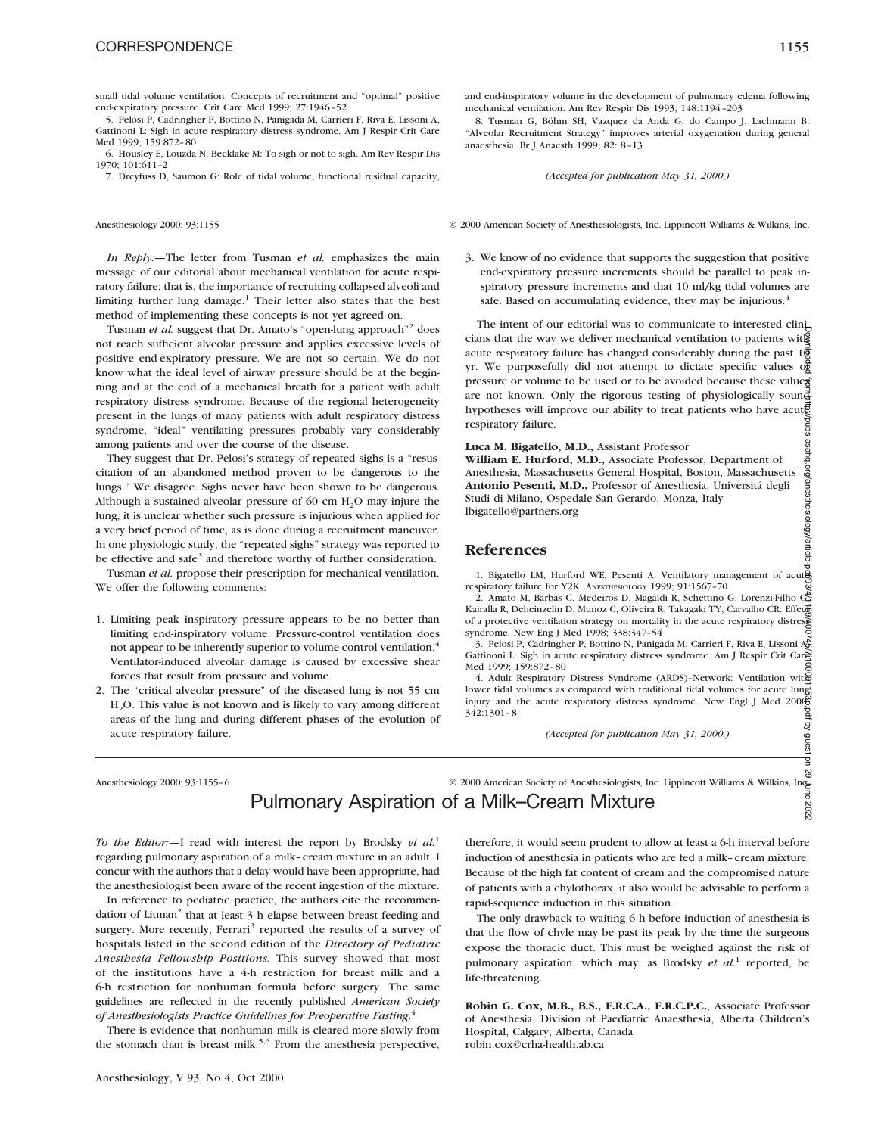small tidal volume ventilation: Concepts of recruitment and "optimal" positive end-expiratory pressure. Crit Care Med 1999; 27:1946–52

5. Pelosi P, Cadringher P, Bottino N, Panigada M, Carrieri F, Riva E, Lissoni A, Gattinoni L: Sigh in acute respiratory distress syndrome. Am J Respir Crit Care Med 1999; 159:872–80

6. Housley E, Louzda N, Becklake M: To sigh or not to sigh. Am Rev Respir Dis 1970; 101:611–2

7. Dreyfuss D, Saumon G: Role of tidal volume, functional residual capacity,

*In Reply:—*The letter from Tusman *et al.* emphasizes the main message of our editorial about mechanical ventilation for acute respiratory failure; that is, the importance of recruiting collapsed alveoli and limiting further lung damage.<sup>1</sup> Their letter also states that the best method of implementing these concepts is not yet agreed on.

Tusman et al. suggest that Dr. Amato's "open-lung approach"<sup>2</sup> does not reach sufficient alveolar pressure and applies excessive levels of positive end-expiratory pressure. We are not so certain. We do not know what the ideal level of airway pressure should be at the beginning and at the end of a mechanical breath for a patient with adult respiratory distress syndrome. Because of the regional heterogeneity present in the lungs of many patients with adult respiratory distress syndrome, "ideal" ventilating pressures probably vary considerably among patients and over the course of the disease.

They suggest that Dr. Pelosi's strategy of repeated sighs is a "resuscitation of an abandoned method proven to be dangerous to the lungs." We disagree. Sighs never have been shown to be dangerous. Although a sustained alveolar pressure of 60 cm  $H_2O$  may injure the lung, it is unclear whether such pressure is injurious when applied for a very brief period of time, as is done during a recruitment maneuver. In one physiologic study, the "repeated sighs" strategy was reported to be effective and safe<sup>3</sup> and therefore worthy of further consideration.

Tusman *et al.* propose their prescription for mechanical ventilation. We offer the following comments:

- 1. Limiting peak inspiratory pressure appears to be no better than limiting end-inspiratory volume. Pressure-control ventilation does not appear to be inherently superior to volume-control ventilation.<sup>4</sup> Ventilator-induced alveolar damage is caused by excessive shear forces that result from pressure and volume.
- 2. The "critical alveolar pressure" of the diseased lung is not 55 cm H2O. This value is not known and is likely to vary among different areas of the lung and during different phases of the evolution of acute respiratory failure.

and end-inspiratory volume in the development of pulmonary edema following mechanical ventilation. Am Rev Respir Dis 1993; 148:1194–203

8. Tusman G, Böhm SH, Vazquez da Anda G, do Campo J, Lachmann B: "Alveolar Recruitment Strategy" improves arterial oxygenation during general anaesthesia. Br J Anaesth 1999; 82: 8–13

*(Accepted for publication May 31, 2000.)*

Anesthesiology 2000; 93:1155  $\degree$  2000 American Society of Anesthesiologists, Inc. Lippincott Williams & Wilkins, Inc.

3. We know of no evidence that supports the suggestion that positive end-expiratory pressure increments should be parallel to peak inspiratory pressure increments and that 10 ml/kg tidal volumes are safe. Based on accumulating evidence, they may be injurious. $4$ 

The intent of our editorial was to communicate to interested clinicians that the way we deliver mechanical ventilation to patients with acute respiratory failure has changed considerably during the past  $1\overline{6}$ yr. We purposefully did not attempt to dictate specific values of pressure or volume to be used or to be avoided because these values are not known. Only the rigorous testing of physiologically sound hypotheses will improve our ability to treat patients who have acute respiratory failure. Downloaded from http://pubs.asahq.org/anesthesiology/article-pdf/93/4/1159/400745/7i100001153p.pdf by guest on 29 June 2022

**Luca M. Bigatello, M.D.,** Assistant Professor

**William E. Hurford, M.D.,** Associate Professor, Department of Anesthesia, Massachusetts General Hospital, Boston, Massachusetts **Antonio Pesenti, M.D.,** Professor of Anesthesia, Universita´ degli Studi di Milano, Ospedale San Gerardo, Monza, Italy lbigatello@partners.org

#### **References**

1. Bigatello LM, Hurford WE, Pesenti A: Ventilatory management of acute respiratory failure for Y2K. ANESTHESIOLOGY 1999; 91:1567–70

 $\frac{20}{2}$ <br>2. Amato M, Barbas C, Medeiros D, Magaldi R, Schettino G, Lorenzi-Filho G, Kairalla R, Deheinzelin D, Munoz C, Oliveira R, Takagaki TY, Carvalho CR: Effecto of a protective ventilation strategy on mortality in the acute respiratory distress syndrome. New Eng J Med 1998; 338:347–54

3. Pelosi P, Cadringher P, Bottino N, Panigada M, Carrieri F, Riva E, Lissoni A, Gattinoni L: Sigh in acute respiratory distress syndrome. Am J Respir Crit Care Med 1999; 159:872–80

4. Adult Respiratory Distress Syndrome (ARDS)–Network: Ventilation with lower tidal volumes as compared with traditional tidal volumes for acute lung injury and the acute respiratory distress syndrome. New Engl J Med 2000;<br>342:1301-8<br>(*Accepted for publication May 31, 2000.*) 342:1301–8

*(Accepted for publication May 31, 2000.)*

Anesthesiology 2000; 93:1155–6 © 2000 American Society of Anesthesiologists, Inc. Lippincott Williams & Wilkins, Inc. New Reserved Analy Mixture Pulmonary Aspiration of a Milk-Cream Mixture Pulmonary Aspiration of a Milk–Cream Mixture

*To the Editor:—*I read with interest the report by Brodsky *et al.*<sup>1</sup> regarding pulmonary aspiration of a milk–cream mixture in an adult. I concur with the authors that a delay would have been appropriate, had the anesthesiologist been aware of the recent ingestion of the mixture.

In reference to pediatric practice, the authors cite the recommendation of Litman<sup>2</sup> that at least 3 h elapse between breast feeding and surgery. More recently, Ferrari<sup>3</sup> reported the results of a survey of hospitals listed in the second edition of the *Directory of Pediatric Anesthesia Fellowship Positions.* This survey showed that most of the institutions have a 4-h restriction for breast milk and a 6-h restriction for nonhuman formula before surgery. The same guidelines are reflected in the recently published *American Society of Anesthesiologists Practice Guidelines for Preoperative Fasting*. 4

There is evidence that nonhuman milk is cleared more slowly from the stomach than is breast milk.<sup>5,6</sup> From the anesthesia perspective, therefore, it would seem prudent to allow at least a 6-h interval before induction of anesthesia in patients who are fed a milk–cream mixture. Because of the high fat content of cream and the compromised nature of patients with a chylothorax, it also would be advisable to perform a rapid-sequence induction in this situation.

The only drawback to waiting 6 h before induction of anesthesia is that the flow of chyle may be past its peak by the time the surgeons expose the thoracic duct. This must be weighed against the risk of pulmonary aspiration, which may, as Brodsky *et al.*<sup>1</sup> reported, be life-threatening.

**Robin G. Cox, M.B., B.S., F.R.C.A., F.R.C.P.C.**, Associate Professor of Anesthesia, Division of Paediatric Anaesthesia, Alberta Children's Hospital, Calgary, Alberta, Canada robin.cox@crha-health.ab.ca

ġ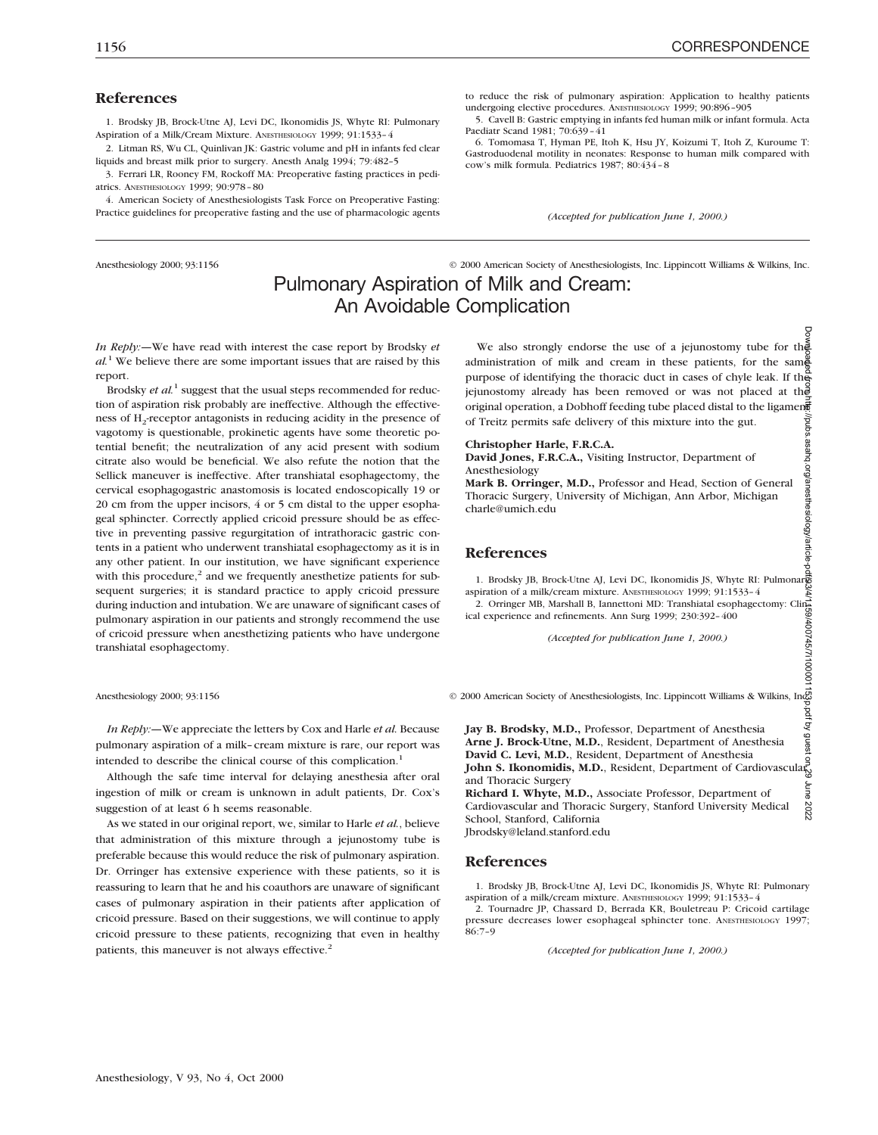#### **References**

1. Brodsky JB, Brock-Utne AJ, Levi DC, Ikonomidis JS, Whyte RI: Pulmonary Aspiration of a Milk/Cream Mixture. ANESTHESIOLOGY 1999; 91:1533–4

2. Litman RS, Wu CL, Quinlivan JK: Gastric volume and pH in infants fed clear liquids and breast milk prior to surgery. Anesth Analg 1994; 79:482–5

3. Ferrari LR, Rooney FM, Rockoff MA: Preoperative fasting practices in pediatrics. ANESTHESIOLOGY 1999; 90:978–80

4. American Society of Anesthesiologists Task Force on Preoperative Fasting: Practice guidelines for preoperative fasting and the use of pharmacologic agents

Anesthesiology 2000; 93:1156 © 2000 American Society of Anesthesiologists, Inc. Lippincott Williams & Wilkins, Inc.

*(Accepted for publication June 1, 2000.)*

to reduce the risk of pulmonary aspiration: Application to healthy patients

5. Cavell B: Gastric emptying in infants fed human milk or infant formula. Acta

6. Tomomasa T, Hyman PE, Itoh K, Hsu JY, Koizumi T, Itoh Z, Kuroume T: Gastroduodenal motility in neonates: Response to human milk compared with

undergoing elective procedures. ANESTHESIOLOGY 1999; 90:896–905

### Pulmonary Aspiration of Milk and Cream: An Avoidable Complication

*In Reply:—*We have read with interest the case report by Brodsky *et al.*<sup>1</sup> We believe there are some important issues that are raised by this report.

Brodsky *et al.*<sup>1</sup> suggest that the usual steps recommended for reduction of aspiration risk probably are ineffective. Although the effectiveness of H<sub>2</sub>-receptor antagonists in reducing acidity in the presence of vagotomy is questionable, prokinetic agents have some theoretic potential benefit; the neutralization of any acid present with sodium citrate also would be beneficial. We also refute the notion that the Sellick maneuver is ineffective. After transhiatal esophagectomy, the cervical esophagogastric anastomosis is located endoscopically 19 or 20 cm from the upper incisors, 4 or 5 cm distal to the upper esophageal sphincter. Correctly applied cricoid pressure should be as effective in preventing passive regurgitation of intrathoracic gastric contents in a patient who underwent transhiatal esophagectomy as it is in any other patient. In our institution, we have significant experience with this procedure, $2$  and we frequently anesthetize patients for subsequent surgeries; it is standard practice to apply cricoid pressure during induction and intubation. We are unaware of significant cases of pulmonary aspiration in our patients and strongly recommend the use of cricoid pressure when anesthetizing patients who have undergone transhiatal esophagectomy.

*In Reply:—*We appreciate the letters by Cox and Harle *et al.* Because pulmonary aspiration of a milk–cream mixture is rare, our report was intended to describe the clinical course of this complication.<sup>1</sup>

Although the safe time interval for delaying anesthesia after oral ingestion of milk or cream is unknown in adult patients, Dr. Cox's suggestion of at least 6 h seems reasonable.

As we stated in our original report, we, similar to Harle *et al.*, believe that administration of this mixture through a jejunostomy tube is preferable because this would reduce the risk of pulmonary aspiration. Dr. Orringer has extensive experience with these patients, so it is reassuring to learn that he and his coauthors are unaware of significant cases of pulmonary aspiration in their patients after application of cricoid pressure. Based on their suggestions, we will continue to apply cricoid pressure to these patients, recognizing that even in healthy patients, this maneuver is not always effective.<sup>2</sup>

We also strongly endorse the use of a jejunostomy tube for the administration of milk and cream in these patients, for the same purpose of identifying the thoracic duct in cases of chyle leak. If the jejunostomy already has been removed or was not placed at the original operation, a Dobhoff feeding tube placed distal to the ligament of Treitz permits safe delivery of this mixture into the gut. Downloaded from http://pubs.asahq.org/anesthesiology/article-pdf/93/4/1159/400745/7i100001153p.pdf by guest on 29 June 2022

#### **Christopher Harle, F.R.C.A.**

Paediatr Scand 1981; 70:639–41

cow's milk formula. Pediatrics 1987; 80:434–8

**David Jones, F.R.C.A.,** Visiting Instructor, Department of Anesthesiology

**Mark B. Orringer, M.D.,** Professor and Head, Section of General Thoracic Surgery, University of Michigan, Ann Arbor, Michigan charle@umich.edu

#### **References**

1. Brodsky JB, Brock-Utne AJ, Levi DC, Ikonomidis JS, Whyte RI: Pulmonary aspiration of a milk/cream mixture. ANESTHESIOLOGY 1999; 91:1533–4

2. Orringer MB, Marshall B, Iannettoni MD: Transhiatal esophagectomy: Clinical experience and refinements. Ann Surg 1999; 230:392–400

*(Accepted for publication June 1, 2000.)*

Anesthesiology 2000; 93:1156  $\odot$  2000 American Society of Anesthesiologists, Inc. Lippincott Williams & Wilkins, Inc

**Jay B. Brodsky, M.D.,** Professor, Department of Anesthesia **Arne J. Brock-Utne, M.D.**, Resident, Department of Anesthesia **David C. Levi, M.D.**, Resident, Department of Anesthesia **John S. Ikonomidis, M.D.**, Resident, Department of Cardiovascular and Thoracic Surgery June 2022

**Richard I. Whyte, M.D.,** Associate Professor, Department of Cardiovascular and Thoracic Surgery, Stanford University Medical School, Stanford, California Jbrodsky@leland.stanford.edu

#### **References**

1. Brodsky JB, Brock-Utne AJ, Levi DC, Ikonomidis JS, Whyte RI: Pulmonary aspiration of a milk/cream mixture. ANESTHESIOLOGY 1999; 91:1533–4

2. Tournadre JP, Chassard D, Berrada KR, Bouletreau P: Cricoid cartilage pressure decreases lower esophageal sphincter tone. ANESTHESIOLOGY 1997; 86:7–9

*(Accepted for publication June 1, 2000.)*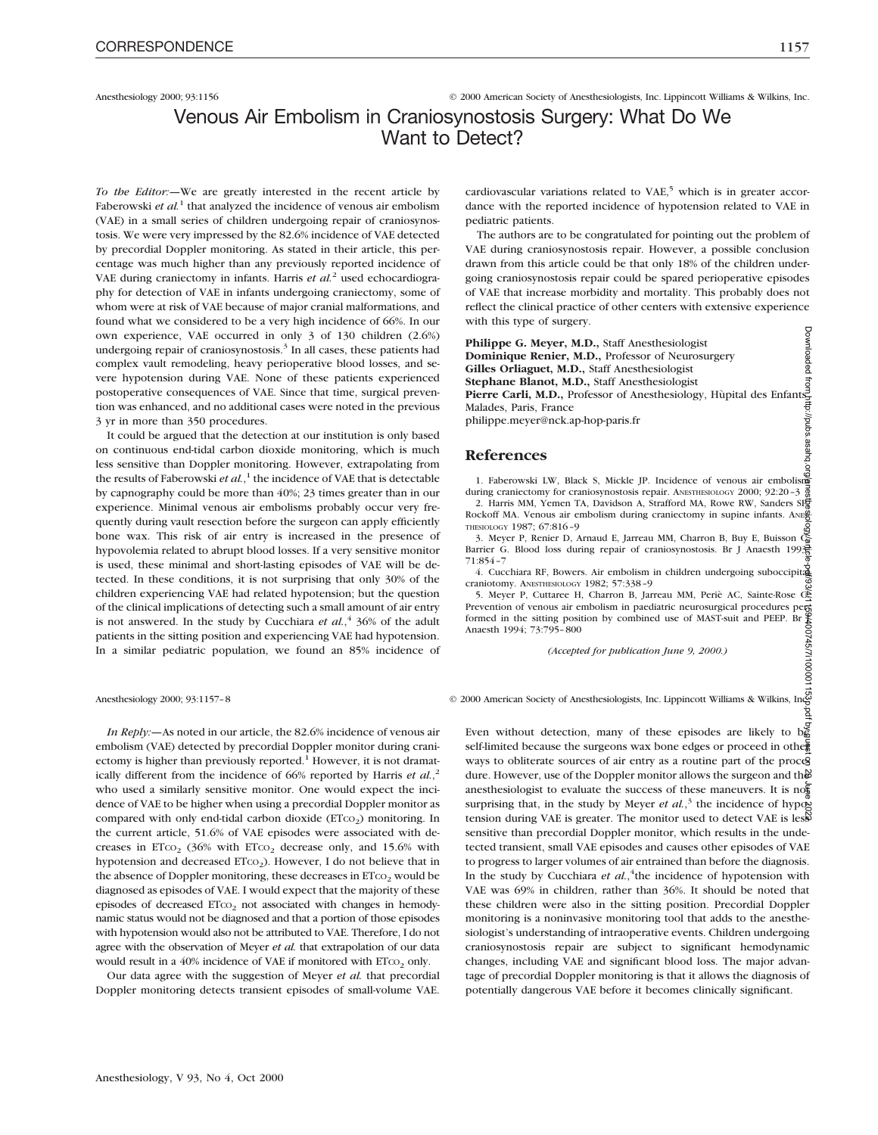Anesthesiology 2000; 93:1156 © 2000 American Society of Anesthesiologists, Inc. Lippincott Williams & Wilkins, Inc.

### Venous Air Embolism in Craniosynostosis Surgery: What Do We Want to Detect?

*To the Editor:—*We are greatly interested in the recent article by Faberowski *et al.*<sup>1</sup> that analyzed the incidence of venous air embolism (VAE) in a small series of children undergoing repair of craniosynostosis. We were very impressed by the 82.6% incidence of VAE detected by precordial Doppler monitoring. As stated in their article, this percentage was much higher than any previously reported incidence of VAE during craniectomy in infants. Harris *et al.*<sup>2</sup> used echocardiography for detection of VAE in infants undergoing craniectomy, some of whom were at risk of VAE because of major cranial malformations, and found what we considered to be a very high incidence of 66%. In our own experience, VAE occurred in only 3 of 130 children (2.6%) undergoing repair of craniosynostosis. $3$  In all cases, these patients had complex vault remodeling, heavy perioperative blood losses, and severe hypotension during VAE. None of these patients experienced postoperative consequences of VAE. Since that time, surgical prevention was enhanced, and no additional cases were noted in the previous 3 yr in more than 350 procedures.

It could be argued that the detection at our institution is only based on continuous end-tidal carbon dioxide monitoring, which is much less sensitive than Doppler monitoring. However, extrapolating from the results of Faberowski *et al.*, <sup>1</sup> the incidence of VAE that is detectable by capnography could be more than 40%; 23 times greater than in our experience. Minimal venous air embolisms probably occur very frequently during vault resection before the surgeon can apply efficiently bone wax. This risk of air entry is increased in the presence of hypovolemia related to abrupt blood losses. If a very sensitive monitor is used, these minimal and short-lasting episodes of VAE will be detected. In these conditions, it is not surprising that only 30% of the children experiencing VAE had related hypotension; but the question of the clinical implications of detecting such a small amount of air entry is not answered. In the study by Cucchiara *et al.*,<sup>4</sup> 36% of the adult patients in the sitting position and experiencing VAE had hypotension. In a similar pediatric population, we found an 85% incidence of

cardiovascular variations related to VAE,<sup>5</sup> which is in greater accordance with the reported incidence of hypotension related to VAE in pediatric patients.

The authors are to be congratulated for pointing out the problem of VAE during craniosynostosis repair. However, a possible conclusion drawn from this article could be that only 18% of the children undergoing craniosynostosis repair could be spared perioperative episodes of VAE that increase morbidity and mortality. This probably does not reflect the clinical practice of other centers with extensive experience with this type of surgery.

**Philippe G. Meyer, M.D.,** Staff Anesthesiologist **Dominique Renier, M.D.,** Professor of Neurosurgery **Gilles Orliaguet, M.D.,** Staff Anesthesiologist **Stephane Blanot, M.D.,** Staff Anesthesiologist Pierre Carli, M.D., Professor of Anesthesiology, Hùpital des Enfants Malades, Paris, France philippe.meyer@nck.ap-hop-paris.fr

#### **References**

1. Faberowski LW, Black S, Mickle JP. Incidence of venous air embolism during craniectomy for craniosynostosis repair. ANESTHESIOLOGY 2000; 92:20-3

2. Harris MM, Yemen TA, Davidson A, Strafford MA, Rowe RW, Sanders SP Rockoff MA. Venous air embolism during craniectomy in supine infants. ANES THESIOLOGY 1987; 67:816–9

3. Meyer P, Renier D, Arnaud E, Jarreau MM, Charron B, Buy E, Buisson C, Barrier G. Blood loss during repair of craniosynostosis. Br J Anaesth 1993; 71:854–7

4. Cucchiara RF, Bowers. Air embolism in children undergoing suboccipital craniotomy. ANESTHESIOLOGY 1982; 57:338–9

5. Meyer P, Cuttaree H, Charron B, Jarreau MM, Periè AC, Sainte-Rose C. Prevention of venous air embolism in paediatric neurosurgical procedures performed in the sitting position by combined use of MAST-suit and PEEP. Br  $\frac{4}{3}$ Anaesth 1994; 73:795–800

*(Accepted for publication June 9, 2000.)*

*In Reply:—*As noted in our article, the 82.6% incidence of venous air embolism (VAE) detected by precordial Doppler monitor during craniectomy is higher than previously reported.<sup>1</sup> However, it is not dramatically different from the incidence of 66% reported by Harris *et al.*, 2 who used a similarly sensitive monitor. One would expect the incidence of VAE to be higher when using a precordial Doppler monitor as compared with only end-tidal carbon dioxide (ETcO2) monitoring. In the current article, 51.6% of VAE episodes were associated with decreases in ET $co$ <sub>2</sub> (36% with ET $co$ <sub>2</sub> decrease only, and 15.6% with hypotension and decreased ETco<sub>2</sub>). However, I do not believe that in the absence of Doppler monitoring, these decreases in  $ETCO<sub>2</sub>$  would be diagnosed as episodes of VAE. I would expect that the majority of these episodes of decreased  $ETCO<sub>2</sub>$  not associated with changes in hemodynamic status would not be diagnosed and that a portion of those episodes with hypotension would also not be attributed to VAE. Therefore, I do not agree with the observation of Meyer *et al.* that extrapolation of our data would result in a 40% incidence of VAE if monitored with  $ETCO<sub>2</sub>$  only.

Our data agree with the suggestion of Meyer *et al.* that precordial Doppler monitoring detects transient episodes of small-volume VAE.

Anesthesiology 2000; 93:1157–8 © 2000 American Society of Anesthesiologists, Inc. Lippincott Williams & Wilkins, Inc. ġ

Even without detection, many of these episodes are likely to  $\overline{b}$ self-limited because the surgeons wax bone edges or proceed in other ways to obliterate sources of air entry as a routine part of the proces dure. However, use of the Doppler monitor allows the surgeon and the anesthesiologist to evaluate the success of these maneuvers. It is no $\overline{\mathfrak{s}}$ surprising that, in the study by Meyer *et al.*,<sup>3</sup> the incidence of hypotension during VAE is greater. The monitor used to detect VAE is less sensitive than precordial Doppler monitor, which results in the undetected transient, small VAE episodes and causes other episodes of VAE to progress to larger volumes of air entrained than before the diagnosis. In the study by Cucchiara *et al.*, 4 the incidence of hypotension with VAE was 69% in children, rather than 36%. It should be noted that these children were also in the sitting position. Precordial Doppler monitoring is a noninvasive monitoring tool that adds to the anesthesiologist's understanding of intraoperative events. Children undergoing craniosynostosis repair are subject to significant hemodynamic changes, including VAE and significant blood loss. The major advantage of precordial Doppler monitoring is that it allows the diagnosis of potentially dangerous VAE before it becomes clinically significant. Downloaded from http://pubs.asahq.org/anesthesiology/article-pdf/93/4/1159/400745/7i100001153p.pdf by guest on 29 June 2022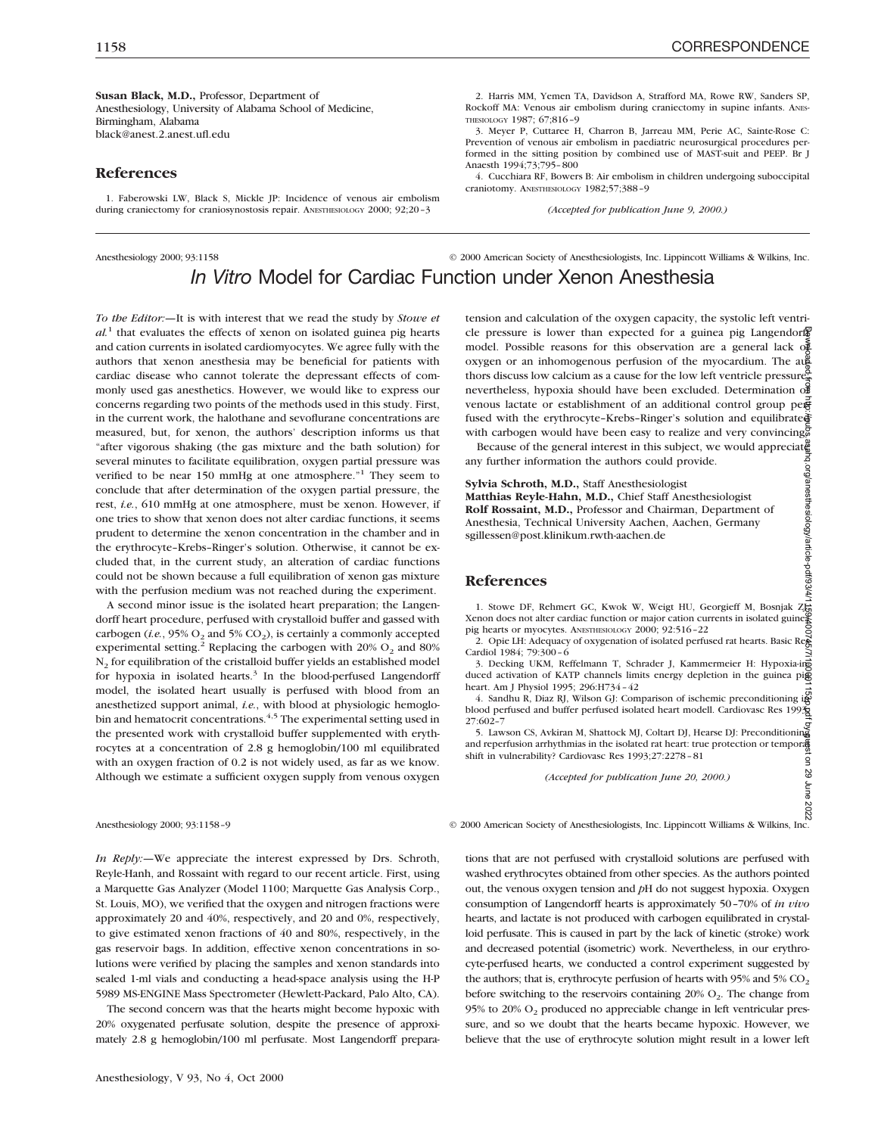**Susan Black, M.D.,** Professor, Department of Anesthesiology, University of Alabama School of Medicine, Birmingham, Alabama black@anest.2.anest.ufl.edu

#### **References**

1. Faberowski LW, Black S, Mickle JP: Incidence of venous air embolism during craniectomy for craniosynostosis repair. ANESTHESIOLOGY 2000; 92;20-3

2. Harris MM, Yemen TA, Davidson A, Strafford MA, Rowe RW, Sanders SP, Rockoff MA: Venous air embolism during craniectomy in supine infants. ANES-THESIOLOGY 1987; 67;816–9

3. Meyer P, Cuttaree H, Charron B, Jarreau MM, Perie AC, Sainte-Rose C: Prevention of venous air embolism in paediatric neurosurgical procedures performed in the sitting position by combined use of MAST-suit and PEEP. Br J Anaesth 1994;73;795–800

4. Cucchiara RF, Bowers B: Air embolism in children undergoing suboccipital craniotomy. ANESTHESIOLOGY 1982;57;388–9

*(Accepted for publication June 9, 2000.)*

### Anesthesiology 2000; 93:1158 © 2000 American Society of Anesthesiologists, Inc. Lippincott Williams & Wilkins, Inc. *In Vitro* Model for Cardiac Function under Xenon Anesthesia

*To the Editor:—*It is with interest that we read the study by *Stowe et*  $al<sup>1</sup>$  that evaluates the effects of xenon on isolated guinea pig hearts and cation currents in isolated cardiomyocytes. We agree fully with the authors that xenon anesthesia may be beneficial for patients with cardiac disease who cannot tolerate the depressant effects of commonly used gas anesthetics. However, we would like to express our concerns regarding two points of the methods used in this study. First, in the current work, the halothane and sevoflurane concentrations are measured, but, for xenon, the authors' description informs us that "after vigorous shaking (the gas mixture and the bath solution) for several minutes to facilitate equilibration, oxygen partial pressure was verified to be near 150 mmHg at one atmosphere."<sup>1</sup> They seem to conclude that after determination of the oxygen partial pressure, the rest, *i.e.*, 610 mmHg at one atmosphere, must be xenon. However, if one tries to show that xenon does not alter cardiac functions, it seems prudent to determine the xenon concentration in the chamber and in the erythrocyte–Krebs–Ringer's solution. Otherwise, it cannot be excluded that, in the current study, an alteration of cardiac functions could not be shown because a full equilibration of xenon gas mixture with the perfusion medium was not reached during the experiment.

A second minor issue is the isolated heart preparation; the Langendorff heart procedure, perfused with crystalloid buffer and gassed with carbogen (*i.e.*,  $95\%$  O<sub>2</sub> and  $5\%$  CO<sub>2</sub>), is certainly a commonly accepted experimental setting.<sup>2</sup> Replacing the carbogen with 20%  $O_2$  and 80% N<sub>2</sub> for equilibration of the cristalloid buffer yields an established model for hypoxia in isolated hearts. $3$  In the blood-perfused Langendorff model, the isolated heart usually is perfused with blood from an anesthetized support animal, *i.e.*, with blood at physiologic hemoglobin and hematocrit concentrations.<sup>4,5</sup> The experimental setting used in the presented work with crystalloid buffer supplemented with erythrocytes at a concentration of 2.8 g hemoglobin/100 ml equilibrated with an oxygen fraction of 0.2 is not widely used, as far as we know. Although we estimate a sufficient oxygen supply from venous oxygen

*In Reply:—*We appreciate the interest expressed by Drs. Schroth, Reyle-Hanh, and Rossaint with regard to our recent article. First, using a Marquette Gas Analyzer (Model 1100; Marquette Gas Analysis Corp., St. Louis, MO), we verified that the oxygen and nitrogen fractions were approximately 20 and 40%, respectively, and 20 and 0%, respectively, to give estimated xenon fractions of 40 and 80%, respectively, in the gas reservoir bags. In addition, effective xenon concentrations in solutions were verified by placing the samples and xenon standards into sealed 1-ml vials and conducting a head-space analysis using the H-P 5989 MS-ENGINE Mass Spectrometer (Hewlett-Packard, Palo Alto, CA).

The second concern was that the hearts might become hypoxic with 20% oxygenated perfusate solution, despite the presence of approximately 2.8 g hemoglobin/100 ml perfusate. Most Langendorff preparatension and calculation of the oxygen capacity, the systolic left ventricle pressure is lower than expected for a guinea pig Langendorff model. Possible reasons for this observation are a general lack  $\sigma \tilde{E}$  $oxygen$  or an inhomogenous perfusion of the myocardium. The aug thors discuss low calcium as a cause for the low left ventricle pressure. nevertheless, hypoxia should have been excluded. Determination of venous lactate or establishment of an additional control group perfused with the erythrocyte-Krebs-Ringer's solution and equilibrated with carbogen would have been easy to realize and very convincing. Downloaded from http://pubs.asahq.org/anesthesiology/article-pdf/93/4/1159/400745/7i100001153p.pdf by guest on 29 June 2022

Because of the general interest in this subject, we would appreciate any further information the authors could provide.

**Sylvia Schroth, M.D.,** Staff Anesthesiologist

**Matthias Reyle-Hahn, M.D.,** Chief Staff Anesthesiologist **Rolf Rossaint, M.D.,** Professor and Chairman, Department of Anesthesia, Technical University Aachen, Aachen, Germany sgillessen@post.klinikum.rwth-aachen.de

#### **References**

1. Stowe DF, Rehmert GC, Kwok W, Weigt HU, Georgieff M, Bosnjak Zt ¥enon does not alter cardiac function or major cation currents in isolated guine<br>Pig hearts or myocytes. ANESTHESIOLOGY 2000; 92:516-22<br>2. Opie LH: Adequacy of oxygenation of isolated perfused rat hearts. Basic Re§

Cardiol 1984; 79:300–6

3. Decking UKM, Reffelmann T, Schrader J, Kammermeier H: Hypoxia-ing 3. Decking UKM, Reffelmann T, Schrader J, Kammermeier H: Hypoxia-induced activation of KATP channels limits energy depletion in the guinea pig heart. Am J Physiol 1995; 296:H734–42

4. Sandhu R, Diaz RJ, Wilson GJ: Comparison of ischemic preconditioning in blood perfused and buffer perfused isolated heart modell. Cardiovasc Res 1993; 27:602–7

5. Lawson CS, Avkiran M, Shattock MJ, Coltart DJ, Hearse DJ: Preconditioning and reperfusion arrhythmias in the isolated rat heart: true protection or temporal shift in vulnerability? Cardiovasc Res 1993;27:2278–81

*(Accepted for publication June 20, 2000.)*

Anesthesiology 2000; 93:1158–9 © 2000 American Society of Anesthesiologists, Inc. Lippincott Williams & Wilkins, Inc.

tions that are not perfused with crystalloid solutions are perfused with washed erythrocytes obtained from other species. As the authors pointed out, the venous oxygen tension and *p*H do not suggest hypoxia. Oxygen consumption of Langendorff hearts is approximately 50–70% of *in vivo* hearts, and lactate is not produced with carbogen equilibrated in crystalloid perfusate. This is caused in part by the lack of kinetic (stroke) work and decreased potential (isometric) work. Nevertheless, in our erythrocyte-perfused hearts, we conducted a control experiment suggested by the authors; that is, erythrocyte perfusion of hearts with  $95\%$  and  $5\%$  CO<sub>2</sub> before switching to the reservoirs containing  $20\%$  O<sub>2</sub>. The change from 95% to 20%  $O<sub>2</sub>$  produced no appreciable change in left ventricular pressure, and so we doubt that the hearts became hypoxic. However, we believe that the use of erythrocyte solution might result in a lower left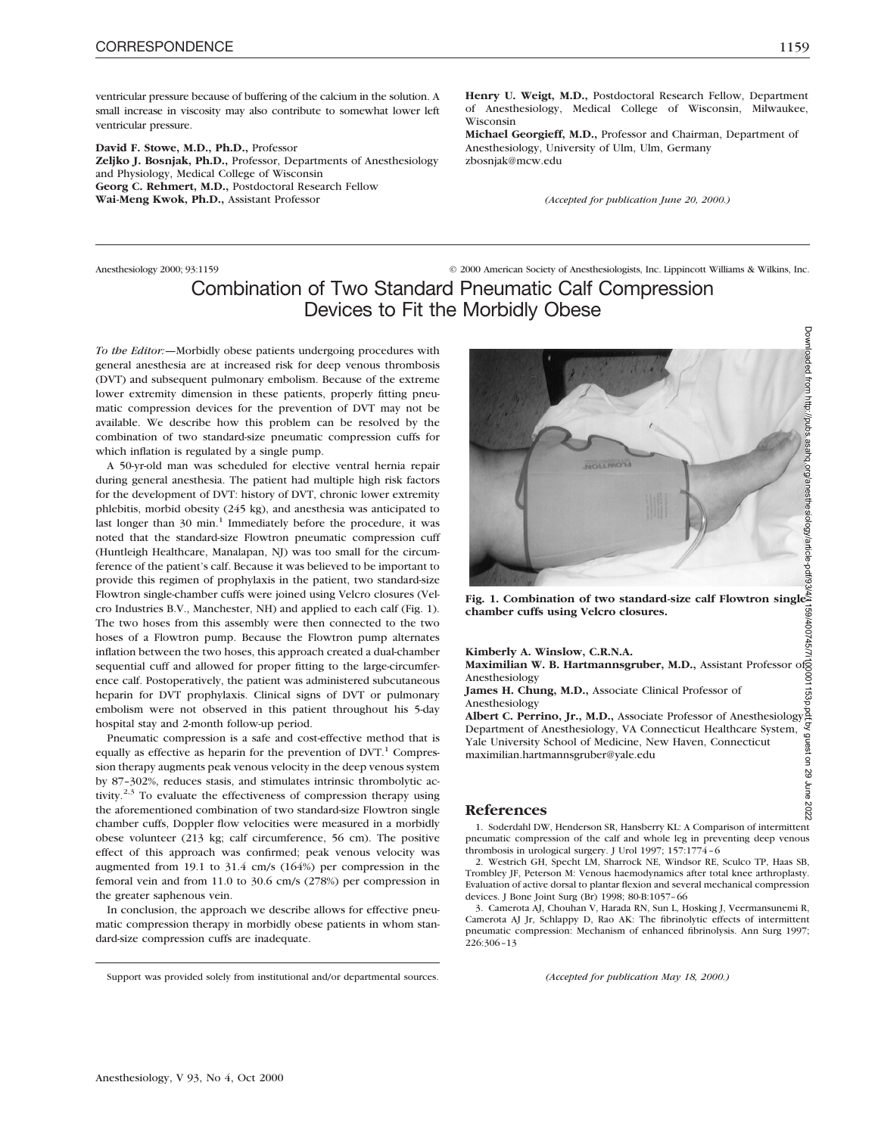ventricular pressure because of buffering of the calcium in the solution. A small increase in viscosity may also contribute to somewhat lower left ventricular pressure.

**David F. Stowe, M.D., Ph.D.,** Professor **Zeljko J. Bosnjak, Ph.D.,** Professor, Departments of Anesthesiology and Physiology, Medical College of Wisconsin **Georg C. Rehmert, M.D.,** Postdoctoral Research Fellow **Wai-Meng Kwok, Ph.D.,** Assistant Professor

Anesthesiology 2000; 93:1159 © 2000 American Society of Anesthesiologists, Inc. Lippincott Williams & Wilkins, Inc.

**Henry U. Weigt, M.D.,** Postdoctoral Research Fellow, Department of Anesthesiology, Medical College of Wisconsin, Milwaukee,

**Michael Georgieff, M.D.,** Professor and Chairman, Department of

*(Accepted for publication June 20, 2000.)*

Anesthesiology, University of Ulm, Ulm, Germany

## Combination of Two Standard Pneumatic Calf Compression Devices to Fit the Morbidly Obese

Wisconsin

zbosnjak@mcw.edu

*To the Editor:—*Morbidly obese patients undergoing procedures with general anesthesia are at increased risk for deep venous thrombosis (DVT) and subsequent pulmonary embolism. Because of the extreme lower extremity dimension in these patients, properly fitting pneumatic compression devices for the prevention of DVT may not be available. We describe how this problem can be resolved by the combination of two standard-size pneumatic compression cuffs for which inflation is regulated by a single pump.

A 50-yr-old man was scheduled for elective ventral hernia repair during general anesthesia. The patient had multiple high risk factors for the development of DVT: history of DVT, chronic lower extremity phlebitis, morbid obesity (245 kg), and anesthesia was anticipated to last longer than 30 min.<sup>1</sup> Immediately before the procedure, it was noted that the standard-size Flowtron pneumatic compression cuff (Huntleigh Healthcare, Manalapan, NJ) was too small for the circumference of the patient's calf. Because it was believed to be important to provide this regimen of prophylaxis in the patient, two standard-size Flowtron single-chamber cuffs were joined using Velcro closures (Velcro Industries B.V., Manchester, NH) and applied to each calf (Fig. 1). The two hoses from this assembly were then connected to the two hoses of a Flowtron pump. Because the Flowtron pump alternates inflation between the two hoses, this approach created a dual-chamber sequential cuff and allowed for proper fitting to the large-circumference calf. Postoperatively, the patient was administered subcutaneous heparin for DVT prophylaxis. Clinical signs of DVT or pulmonary embolism were not observed in this patient throughout his 5-day hospital stay and 2-month follow-up period.

Pneumatic compression is a safe and cost-effective method that is equally as effective as heparin for the prevention of  $DVT$ .<sup>1</sup> Compression therapy augments peak venous velocity in the deep venous system by 87–302%, reduces stasis, and stimulates intrinsic thrombolytic activity.<sup>2,3</sup> To evaluate the effectiveness of compression therapy using the aforementioned combination of two standard-size Flowtron single chamber cuffs, Doppler flow velocities were measured in a morbidly obese volunteer (213 kg; calf circumference, 56 cm). The positive effect of this approach was confirmed; peak venous velocity was augmented from 19.1 to 31.4 cm/s (164%) per compression in the femoral vein and from 11.0 to 30.6 cm/s (278%) per compression in the greater saphenous vein.

In conclusion, the approach we describe allows for effective pneumatic compression therapy in morbidly obese patients in whom standard-size compression cuffs are inadequate.

**James H. Chung, M.D.,** Associate Clinical Professor of

**Maximilian W. B. Hartmannsgruber, M.D.,** Assistant Professor of

**Fig. 1. Combination of two standard-size calf Flowtron single-**

maximilian.hartmannsgruber@yale.edu

**Kimberly A. Winslow, C.R.N.A.**

**chamber cuffs using Velcro closures.**

#### **References**

Anesthesiology

1. Soderdahl DW, Henderson SR, Hansberry KL: A Comparison of intermittent pneumatic compression of the calf and whole leg in preventing deep venous thrombosis in urological surgery. J Urol 1997; 157:1774–6

2. Westrich GH, Specht LM, Sharrock NE, Windsor RE, Sculco TP, Haas SB, Trombley JF, Peterson M: Venous haemodynamics after total knee arthroplasty. Evaluation of active dorsal to plantar flexion and several mechanical compression devices. J Bone Joint Surg (Br) 1998; 80-B:1057–66

3. Camerota AJ, Chouhan V, Harada RN, Sun L, Hosking J, Veermansunemi R, Camerota AJ Jr, Schlappy D, Rao AK: The fibrinolytic effects of intermittent pneumatic compression: Mechanism of enhanced fibrinolysis. Ann Surg 1997; 226:306–13

Support was provided solely from institutional and/or departmental sources. *(Accepted for publication May 18, 2000.)*



Anesthesiology **Albert C. Perrino, Jr., M.D.,** Associate Professor of Anesthesiology, Department of Anesthesiology, VA Connecticut Healthcare System, Yale University School of Medicine, New Haven, Connecticut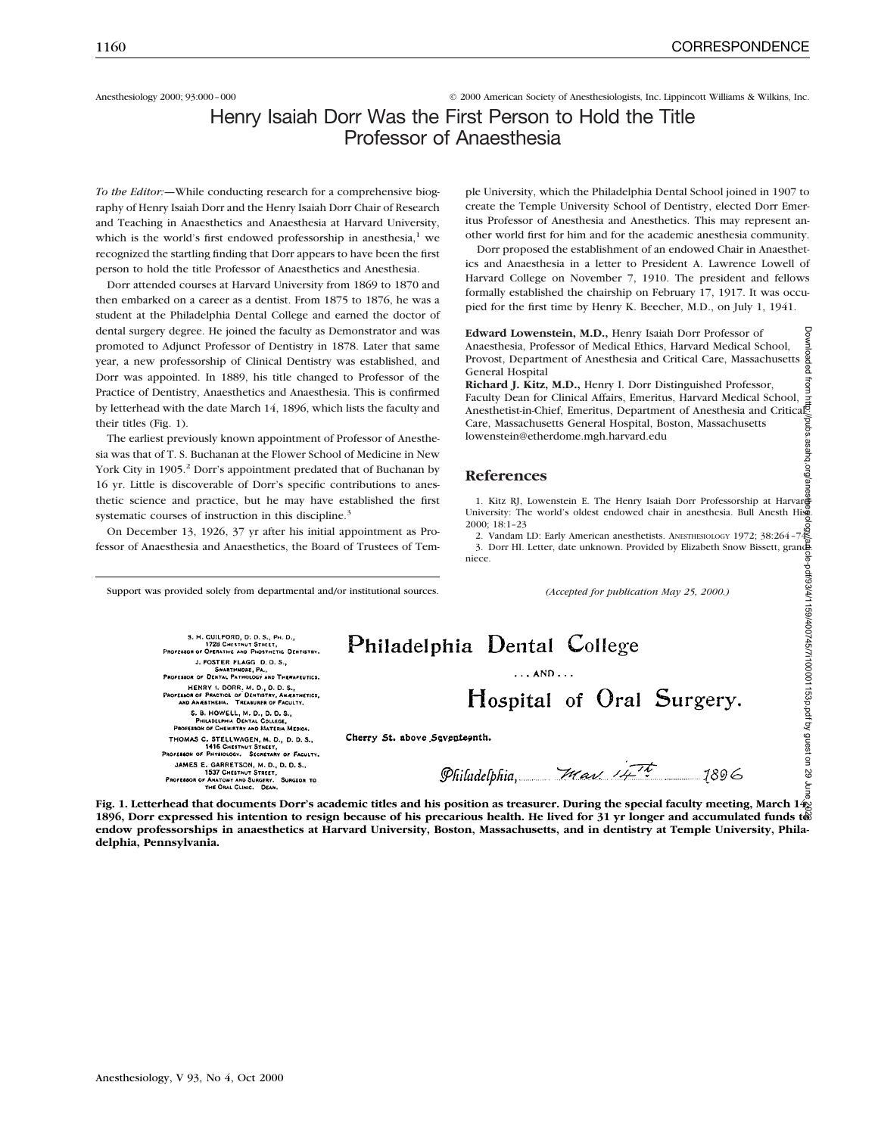Anesthesiology 2000; 93:000 – 000 **CERC 2000** American Society of Anesthesiologists, Inc. Lippincott Williams & Wilkins, Inc.

### Henry Isaiah Dorr Was the First Person to Hold the Title Professor of Anaesthesia

*To the Editor:—*While conducting research for a comprehensive biography of Henry Isaiah Dorr and the Henry Isaiah Dorr Chair of Research and Teaching in Anaesthetics and Anaesthesia at Harvard University, which is the world's first endowed professorship in anesthesia, $1$  we recognized the startling finding that Dorr appears to have been the first person to hold the title Professor of Anaesthetics and Anesthesia.

Dorr attended courses at Harvard University from 1869 to 1870 and then embarked on a career as a dentist. From 1875 to 1876, he was a student at the Philadelphia Dental College and earned the doctor of dental surgery degree. He joined the faculty as Demonstrator and was promoted to Adjunct Professor of Dentistry in 1878. Later that same year, a new professorship of Clinical Dentistry was established, and Dorr was appointed. In 1889, his title changed to Professor of the Practice of Dentistry, Anaesthetics and Anaesthesia. This is confirmed by letterhead with the date March 14, 1896, which lists the faculty and their titles (Fig. 1).

The earliest previously known appointment of Professor of Anesthesia was that of T. S. Buchanan at the Flower School of Medicine in New York City in 1905.<sup>2</sup> Dorr's appointment predated that of Buchanan by 16 yr. Little is discoverable of Dorr's specific contributions to anesthetic science and practice, but he may have established the first systematic courses of instruction in this discipline.<sup>3</sup>

On December 13, 1926, 37 yr after his initial appointment as Professor of Anaesthesia and Anaesthetics, the Board of Trustees of Tem-

ple University, which the Philadelphia Dental School joined in 1907 to create the Temple University School of Dentistry, elected Dorr Emeritus Professor of Anesthesia and Anesthetics. This may represent another world first for him and for the academic anesthesia community.

Dorr proposed the establishment of an endowed Chair in Anaesthetics and Anaesthesia in a letter to President A. Lawrence Lowell of Harvard College on November 7, 1910. The president and fellows formally established the chairship on February 17, 1917. It was occupied for the first time by Henry K. Beecher, M.D., on July 1, 1941.

**Edward Lowenstein, M.D.,** Henry Isaiah Dorr Professor of Anaesthesia, Professor of Medical Ethics, Harvard Medical School, Provost, Department of Anesthesia and Critical Care, Massachusetts ዌ General Hospital

**Richard J. Kitz, M.D.,** Henry I. Dorr Distinguished Professor, Faculty Dean for Clinical Affairs, Emeritus, Harvard Medical School, Anesthetist-in-Chief, Emeritus, Department of Anesthesia and Critical Care, Massachusetts General Hospital, Boston, Massachusetts lowenstein@etherdome.mgh.harvard.edu Downloaded from http://pubs.asahq.org/anesthesiology/article-pdf/93/4/1159/400745/7i100001153p.pdf by guest on 29 June 2022

#### **References**

1. Kitz RJ, Lowenstein E. The Henry Isaiah Dorr Professorship at Harvar University: The world's oldest endowed chair in anesthesia. Bull Anesth History

2000; 18:1–23 2. Vandam LD: Early American anesthetists. ANESTHESIOLOGY 1972; 38:264–74 3. Dorr HI. Letter, date unknown. Provided by Elizabeth Snow Bissett, grandniece.

Support was provided solely from departmental and/or institutional sources.

S, H. GUILFORD, D. D. S., PH. D.,<br>1728 CHESTNUT STIIEET,<br>PROFERSOR OF OPERATIVE AND PHOSTHETIC DENTISTRY. J. FOSTER FLAGG D.D.S., PROFESSOR OF DENTAL PATHOLOGY AND THERAPEUTICS. SON OF DESTAL PRIMADOST AND THEMPEDITOS.<br>HENRY 1, DORR, M. D., D. D. S., S.<br>SAOR OF PRACTICE OF DENTISTRY, AMERITICS, S. B. HOWELL, M. D., D. D. S.,<br>PHILADELPHIA DENTAL COLLEGE,<br>PROFESSOR OF CHEMISTRY AND MATERIA MEDICA. THOMAS C. STELLWAGEN, M. D., D. D. S.,<br>1416 CHESTNUT STREET,<br>PROFEREOR OF PHYBIOLOGY. SECRETARY OF FACULTY.

JAMES E. GARRETSON, M. D., D. D. S.,<br>1537 CHESTAUT STREET,<br>OFE86OR OF ANATONY AND SURGERY. SURGEOR TO<br>THE ORAL CLINIC. DEAN. PROFESSOR OF A

*(Accepted for publication May 25, 2000.)*

# Philadelphia Dental College Hospital of Oral Surgery.

Cherry St. above Seventeenth.

Philadelphia,  $\overline{\mathcal{H}}$ ass  $\overline{\mathcal{H}}$ 

Fig. 1. Letterhead that documents Dorr's academic titles and his position as treasurer. During the special faculty meeting, March 14, **1896, Dorr expressed his intention to resign because of his precarious health. He lived for 31 yr longer and accumulated funds to endow professorships in anaesthetics at Harvard University, Boston, Massachusetts, and in dentistry at Temple University, Philadelphia, Pennsylvania.**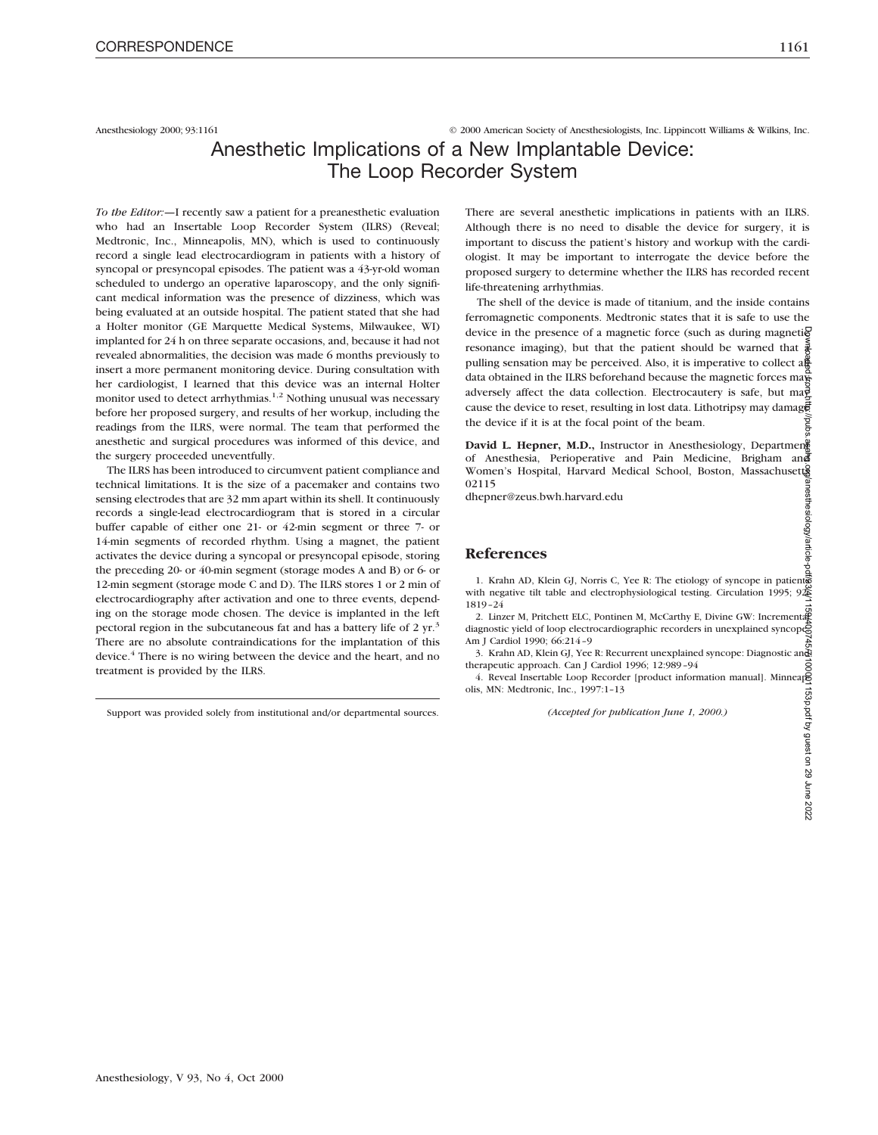Anesthesiology 2000; 93:1161 © 2000 American Society of Anesthesiologists, Inc. Lippincott Williams & Wilkins, Inc.

### Anesthetic Implications of a New Implantable Device: The Loop Recorder System

*To the Editor:—*I recently saw a patient for a preanesthetic evaluation who had an Insertable Loop Recorder System (ILRS) (Reveal; Medtronic, Inc., Minneapolis, MN), which is used to continuously record a single lead electrocardiogram in patients with a history of syncopal or presyncopal episodes. The patient was a 43-yr-old woman scheduled to undergo an operative laparoscopy, and the only significant medical information was the presence of dizziness, which was being evaluated at an outside hospital. The patient stated that she had a Holter monitor (GE Marquette Medical Systems, Milwaukee, WI) implanted for 24 h on three separate occasions, and, because it had not revealed abnormalities, the decision was made 6 months previously to insert a more permanent monitoring device. During consultation with her cardiologist, I learned that this device was an internal Holter monitor used to detect arrhythmias.<sup>1,2</sup> Nothing unusual was necessary before her proposed surgery, and results of her workup, including the readings from the ILRS, were normal. The team that performed the anesthetic and surgical procedures was informed of this device, and the surgery proceeded uneventfully.

The ILRS has been introduced to circumvent patient compliance and technical limitations. It is the size of a pacemaker and contains two sensing electrodes that are 32 mm apart within its shell. It continuously records a single-lead electrocardiogram that is stored in a circular buffer capable of either one 21- or 42-min segment or three 7- or 14-min segments of recorded rhythm. Using a magnet, the patient activates the device during a syncopal or presyncopal episode, storing the preceding 20- or 40-min segment (storage modes A and B) or 6- or 12-min segment (storage mode C and D). The ILRS stores 1 or 2 min of electrocardiography after activation and one to three events, depending on the storage mode chosen. The device is implanted in the left pectoral region in the subcutaneous fat and has a battery life of 2  $yr^3$ There are no absolute contraindications for the implantation of this device.4 There is no wiring between the device and the heart, and no treatment is provided by the ILRS.

Support was provided solely from institutional and/or departmental sources.

There are several anesthetic implications in patients with an ILRS. Although there is no need to disable the device for surgery, it is important to discuss the patient's history and workup with the cardiologist. It may be important to interrogate the device before the proposed surgery to determine whether the ILRS has recorded recent life-threatening arrhythmias.

The shell of the device is made of titanium, and the inside contains ferromagnetic components. Medtronic states that it is safe to use the device in the presence of a magnetic force (such as during magnetic resonance imaging), but that the patient should be warned that  $\frac{3}{8}$ pulling sensation may be perceived. Also, it is imperative to collect all data obtained in the ILRS beforehand because the magnetic forces map adversely affect the data collection. Electrocautery is safe, but ma $\frac{3}{2}$ cause the device to reset, resulting in lost data. Lithotripsy may damage the device if it is at the focal point of the beam.

David L. Hepner, M.D., Instructor in Anesthesiology, Departmen<sup>®</sup> of Anesthesia, Perioperative and Pain Medicine, Brigham and Women's Hospital, Harvard Medical School, Boston, Massachusett 02115

dhepner@zeus.bwh.harvard.edu

#### **References**

1. Krahn AD, Klein GJ, Norris C, Yee R: The etiology of syncope in patients with negative tilt table and electrophysiological testing. Circulation 1995; 92 $\frac{8}{2}$ 1819–24

2. Linzer M, Pritchett ELC, Pontinen M, McCarthy E, Divine GW: Incremental diagnostic yield of loop electrocardiographic recorders in unexplained syncope. Am J Cardiol 1990; 66:214–9

3. Krahn AD, Klein GJ, Yee R: Recurrent unexplained syncope: Diagnostic and therapeutic approach. Can J Cardiol 1996; 12:989–94

4. Reveal Insertable Loop Recorder [product information manual]. MinneapE olis, MN: Medtronic, Inc., 1997:1–13

*(Accepted for publication June 1, 2000.)*